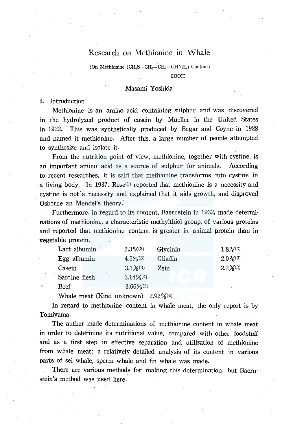# Research on Methionine in Whale

(On Methionine (CH<sub>3</sub>S-CH<sub>2</sub>-CH<sub>2</sub>-CHNH<sub>2</sub>) Content) I COOH

#### Masami Yoshida

#### I. Introduction

Methionine is an amino acid containing sulphur and was discovered in the hydrolyzed product of casein by Mueller in the United States in 1922. This was synthetically produced by Bagar and Coyne in 1928 and named it methionine. After this, a large number of people attempted to synthesize and isolate it.

From the nutrition point of view, methionine, together with cystine, is an important amino acid as a source of sulphur for animals. According to recent researches, it is said that methionine transforms into cystine in a living body. In 1937,  $Rose^{(1)}$  reported that methionine is a necessity and cystine is not a necessity and explained that it aids growth, and disproved Osborne an Mendel's theory.

Furthermore, in regard to its content, Baernstein in 1932, made determinations of methionine, a characteristic methylthiol group, of various proteins and reported that methionine content is greater in animal protein than in vegetable protein.

| Lact albumin  | $2.3\%/3$   | Glycinin | $1.8\%/2$ |
|---------------|-------------|----------|-----------|
| Egg albumin   | $4.5\%/3)$  | Gliadin  | $2.0\%/2$ |
| Casein        | $3.1\%/3)$  | Zein     | $2.2\%/3$ |
| Sardine flesh | $3.14\%/4$  |          |           |
| Beef          | $3.66\%/2)$ |          |           |

Whale meat (Kind unknown)  $2.92\%/4$ 

\

In regard to methionine content in whale meat, the only report is by Tomiyama.

The auther made determinations of methionine content in whale meat in order to determine its nutritional value, compared with other foodstuff and as a first step in effective separation and utilization of methionine from whale meat; a relatively detailed analysis of its content in various parts of sei whale, sperm whale and fin whale was made.

There are various methods for making this determination, but Baernstein's method was used here.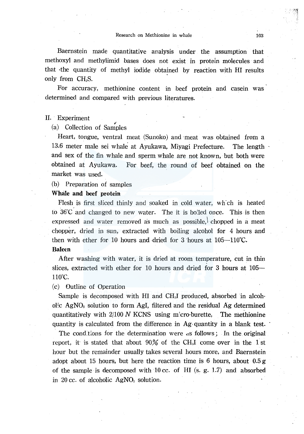Baernstein made quantitative analysis under the assumption that methoxyl and methylimid bases does not exist in protein molecules and that ·the quantity of methyl iodide obtained by reaction with HI results only from  $CH_2S$ .

For accuracy, methionine content in beef protein and casein was determined and compared with previous literatures.

### II. Experiment

(a) Collection of Samples

Heart, tongue, ventral meat (Sunoko) and meat was obtained from a 13.6 meter male sei whale at Ayukawa, Miyagi Prefecture. The length and sex of the fin whale and sperm whale are not known, but both were obtained at Ayukawa. For beef, the round of beef obtained on the market was used.

(b) Preparation of samples

## Whale and beef protein

Flesh is fitst sliced thinly and soaked in cold water, wh'ch is heated to  $36^{\circ}$ C and changed to new water. The it is bolled once. This is then expressed and water removed as much as possible, chopped in a meat chopper, dried in sun, extracted with boiling alcohol for 4 hours and then with ether for 10 hours and dried for 3 hours at  $105-110^{\circ}$ C.

## Balem

After washing with water, it is dried at room temperature, cut in thin slices, extracted with ether for 10 hours and dried for 3 hours at 105— 110°C.

(c) Outline of Operation

Sample is decomposed with HI and CH<sub>3</sub>I produced, absorbed in alcoholic  $AgNO<sub>s</sub>$  solution to form AgI, filtered and the residual Ag determined quantitatively with  $2/100 N$  KCNS using micro-burette, The methionine quantity is calculated from the difference. in Ag· quantity in a blank test.

The conditions for the determination were as follows; In the original report, it is stated that about  $90\%$  of the CH<sub>3</sub>I come over in the 1 st hour but the remainder usually takes several hours more, and Baernstein adopt about 15 hours, but here the reaction time is 6 hours, about  $0.5 g$ of the sample is decomposed with 10 cc. of HI (s. g. 1.7) and absorbed in 20 cc. of alcoholic AgNOs solution.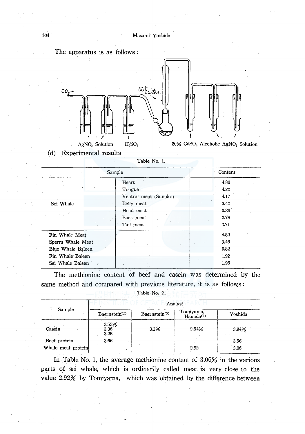

(d) Experimental results

| Table No. 1. |  |  |  |
|--------------|--|--|--|
|--------------|--|--|--|

| Sample                                                                                          |                                                                                               | Content                                              |  |
|-------------------------------------------------------------------------------------------------|-----------------------------------------------------------------------------------------------|------------------------------------------------------|--|
| Sei Whale                                                                                       | Heart<br>Tongue<br>Ventral meat (Sunoko)<br>Belly meat<br>Head meat<br>Back meat<br>Tail meat | 4.80<br>4.22<br>4,17<br>3.42<br>3.33<br>2.78<br>2.71 |  |
| Fin Whale Meat<br>Sperm Whale Meat<br>Blue Whale Baleen<br>Fin Whale Baleen<br>Sei Whale Baleen |                                                                                               | 4.82<br>3.46<br>0.82<br>1.92<br>1.96                 |  |

The methionine content of beef and casein was determined by the same method and compared with previous literature, it is as follows:

| Table No. 2.                       |                           |                           |                            |              |
|------------------------------------|---------------------------|---------------------------|----------------------------|--------------|
|                                    | Analyst                   |                           |                            |              |
| Sample                             | Baernstein <sup>(2)</sup> | Baernstein <sup>(3)</sup> | Tomiyama,<br>$Handa^{(4)}$ | Yoshida      |
| Casein                             | 3.53%<br>3.36<br>3.25     | 3.1%                      | 2.54%                      | 3.94%        |
| Beef protein<br>Whale meat protein | 3.66<br>$\cdot$ .         |                           | 2.92                       | 3.56<br>3.06 |

In Table No. l, the average methionine content of 3.06% in the various parts of sei whale, which is ordinarily called meat is very close to the value 2.92% by Tomiyama, which was obtained by the difference between